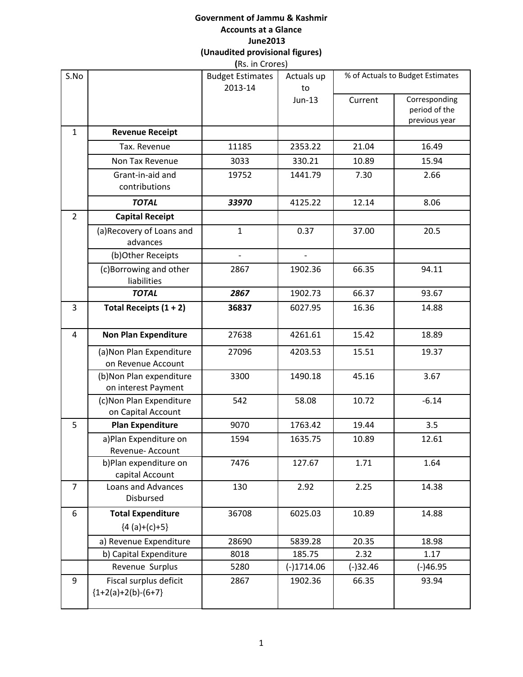# **Government of Jammu & Kashmir Accounts at a Glance June2013 (Unaudited provisional figures)**

| <b>Revenue Receipt</b>                          | <b>Budget Estimates</b><br>2013-14 | Actuals up<br>to<br>$Jun-13$ | Current    | % of Actuals to Budget Estimates                |
|-------------------------------------------------|------------------------------------|------------------------------|------------|-------------------------------------------------|
|                                                 |                                    |                              |            |                                                 |
|                                                 |                                    |                              |            | Corresponding<br>period of the<br>previous year |
|                                                 |                                    |                              |            |                                                 |
| Tax. Revenue                                    | 11185                              | 2353.22                      | 21.04      | 16.49                                           |
| Non Tax Revenue                                 | 3033                               | 330.21                       | 10.89      | 15.94                                           |
| Grant-in-aid and<br>contributions               | 19752                              | 1441.79                      | 7.30       | 2.66                                            |
| <b>TOTAL</b>                                    | 33970                              | 4125.22                      | 12.14      | 8.06                                            |
| <b>Capital Receipt</b>                          |                                    |                              |            |                                                 |
| (a) Recovery of Loans and<br>advances           | $\mathbf{1}$                       | 0.37                         | 37.00      | 20.5                                            |
| (b)Other Receipts                               | $\overline{\phantom{m}}$           | $\overline{a}$               |            |                                                 |
| (c)Borrowing and other<br>liabilities           | 2867                               | 1902.36                      | 66.35      | 94.11                                           |
| <b>TOTAL</b>                                    | 2867                               | 1902.73                      | 66.37      | 93.67                                           |
| Total Receipts $(1 + 2)$                        | 36837                              | 6027.95                      | 16.36      | 14.88                                           |
| <b>Non Plan Expenditure</b>                     | 27638                              | 4261.61                      | 15.42      | 18.89                                           |
| (a) Non Plan Expenditure<br>on Revenue Account  | 27096                              | 4203.53                      | 15.51      | 19.37                                           |
| (b) Non Plan expenditure<br>on interest Payment | 3300                               | 1490.18                      | 45.16      | 3.67                                            |
| (c) Non Plan Expenditure<br>on Capital Account  | 542                                | 58.08                        | 10.72      | $-6.14$                                         |
| <b>Plan Expenditure</b>                         | 9070                               | 1763.42                      | 19.44      | 3.5                                             |
| a) Plan Expenditure on<br>Revenue- Account      | 1594                               | 1635.75                      | 10.89      | 12.61                                           |
| b)Plan expenditure on<br>capital Account        | 7476                               | 127.67                       | 1.71       | 1.64                                            |
| Loans and Advances<br><b>Disbursed</b>          | 130                                | 2.92                         | 2.25       | 14.38                                           |
| <b>Total Expenditure</b><br>${4 (a)+(c)+5}$     | 36708                              | 6025.03                      | 10.89      | 14.88                                           |
| a) Revenue Expenditure                          | 28690                              | 5839.28                      | 20.35      | 18.98                                           |
| b) Capital Expenditure                          | 8018                               | 185.75                       | 2.32       | 1.17                                            |
| Revenue Surplus                                 | 5280                               | $(-)1714.06$                 | $(-)32.46$ | $(-)46.95$                                      |
| Fiscal surplus deficit<br>${1+2(a)+2(b)-(6+7)}$ | 2867                               | 1902.36                      | 66.35      | 93.94                                           |
|                                                 |                                    |                              |            |                                                 |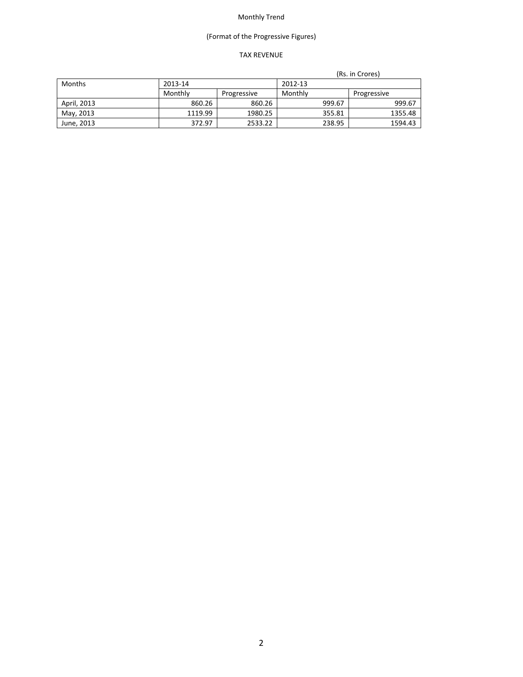# (Format of the Progressive Figures)

### TAX REVENUE

|               |         |             | (Rs. in Crores) |        |             |
|---------------|---------|-------------|-----------------|--------|-------------|
| <b>Months</b> | 2013-14 |             | 2012-13         |        |             |
|               | Monthly | Progressive | Monthly         |        | Progressive |
| April, 2013   | 860.26  | 860.26      |                 | 999.67 | 999.67      |
| May, 2013     | 1119.99 | 1980.25     |                 | 355.81 | 1355.48     |
| June, 2013    | 372.97  | 2533.22     |                 | 238.95 | 1594.43     |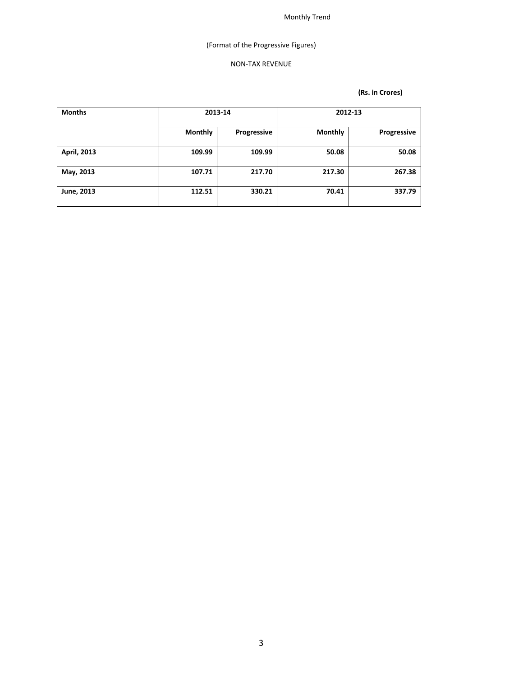# (Format of the Progressive Figures)

### NON‐TAX REVENUE

| <b>Months</b> |                | 2012-13     |                | 2013-14     |  |  |
|---------------|----------------|-------------|----------------|-------------|--|--|
|               | <b>Monthly</b> | Progressive | <b>Monthly</b> | Progressive |  |  |
| April, 2013   | 109.99         | 109.99      | 50.08          | 50.08       |  |  |
| May, 2013     | 107.71         | 217.70      | 217.30         | 267.38      |  |  |
| June, 2013    | 112.51         | 330.21      | 70.41          | 337.79      |  |  |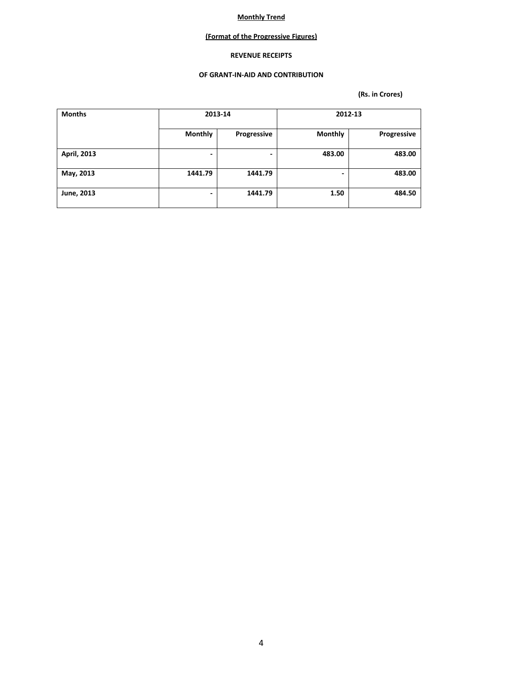### **(Format of the Progressive Figures)**

#### **REVENUE RECEIPTS**

#### **OF GRANT‐IN‐AID AND CONTRIBUTION**

| <b>Months</b> |                | 2013-14     |                | 2012-13     |
|---------------|----------------|-------------|----------------|-------------|
|               | <b>Monthly</b> | Progressive | <b>Monthly</b> | Progressive |
| April, 2013   | -              | -           | 483.00         | 483.00      |
| May, 2013     | 1441.79        | 1441.79     | -              | 483.00      |
| June, 2013    | -              | 1441.79     | 1.50           | 484.50      |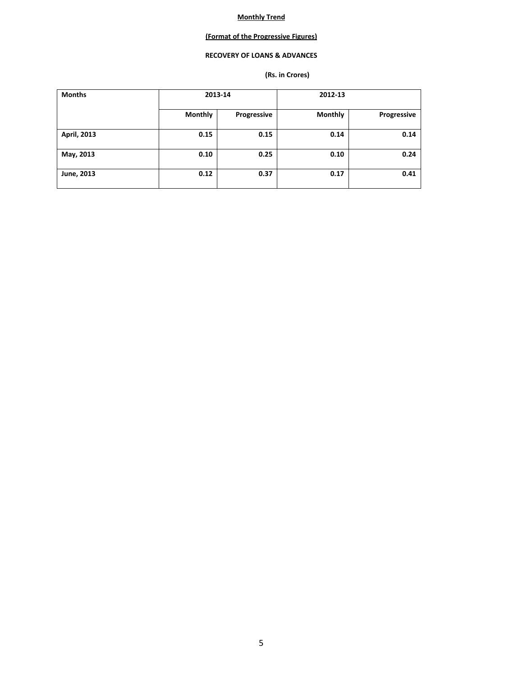### **(Format of the Progressive Figures)**

### **RECOVERY OF LOANS & ADVANCES**

| <b>Months</b> | 2013-14        |             | 2012-13        |             |
|---------------|----------------|-------------|----------------|-------------|
|               | <b>Monthly</b> | Progressive | <b>Monthly</b> | Progressive |
| April, 2013   | 0.15           | 0.15        | 0.14           | 0.14        |
| May, 2013     | 0.10           | 0.25        | 0.10           | 0.24        |
| June, 2013    | 0.12           | 0.37        | 0.17           | 0.41        |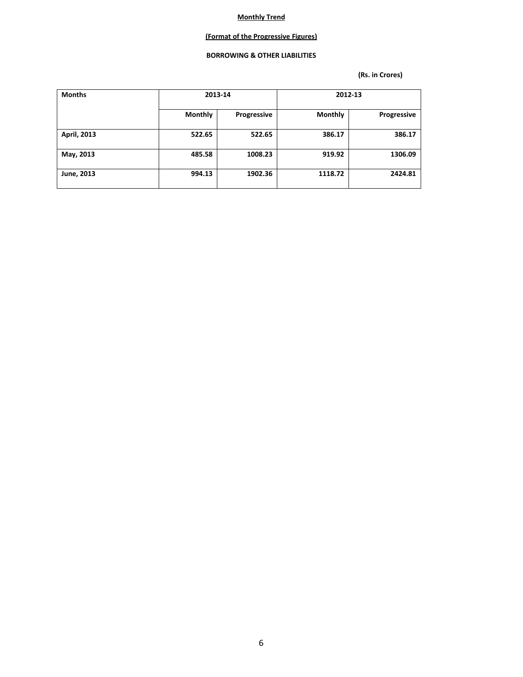### **(Format of the Progressive Figures)**

### **BORROWING & OTHER LIABILITIES**

| <b>Months</b> | 2013-14        |             |                | 2012-13     |
|---------------|----------------|-------------|----------------|-------------|
|               | <b>Monthly</b> | Progressive | <b>Monthly</b> | Progressive |
| April, 2013   | 522.65         | 522.65      | 386.17         | 386.17      |
| May, 2013     | 485.58         | 1008.23     | 919.92         | 1306.09     |
| June, 2013    | 994.13         | 1902.36     | 1118.72        | 2424.81     |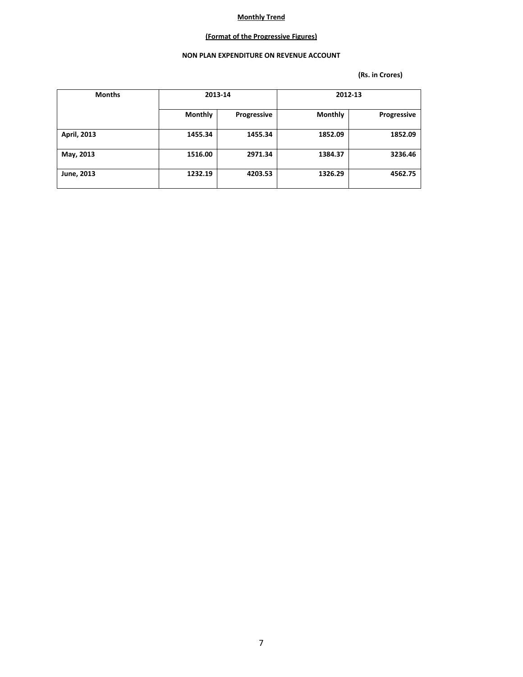### **(Format of the Progressive Figures)**

### **NON PLAN EXPENDITURE ON REVENUE ACCOUNT**

| <b>Months</b> | 2013-14        |             | 2012-13        |             |
|---------------|----------------|-------------|----------------|-------------|
|               | <b>Monthly</b> | Progressive | <b>Monthly</b> | Progressive |
| April, 2013   | 1455.34        | 1455.34     | 1852.09        | 1852.09     |
| May, 2013     | 1516.00        | 2971.34     | 1384.37        | 3236.46     |
| June, 2013    | 1232.19        | 4203.53     | 1326.29        | 4562.75     |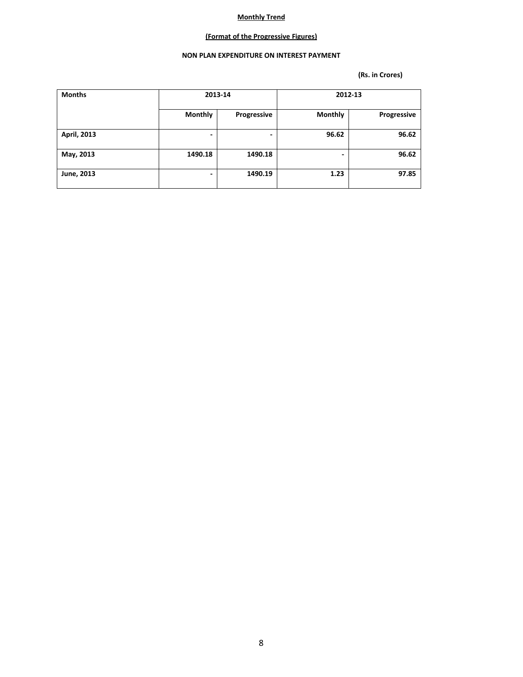### **(Format of the Progressive Figures)**

### **NON PLAN EXPENDITURE ON INTEREST PAYMENT**

| <b>Months</b> |                          | 2013-14     |                | 2012-13     |
|---------------|--------------------------|-------------|----------------|-------------|
|               |                          |             |                |             |
|               | <b>Monthly</b>           | Progressive | <b>Monthly</b> | Progressive |
|               |                          |             |                |             |
| April, 2013   | $\overline{\phantom{0}}$ | ٠           | 96.62          | 96.62       |
|               |                          |             |                |             |
| May, 2013     | 1490.18                  | 1490.18     | -              | 96.62       |
|               |                          |             |                |             |
| June, 2013    | $\overline{\phantom{0}}$ | 1490.19     | 1.23           | 97.85       |
|               |                          |             |                |             |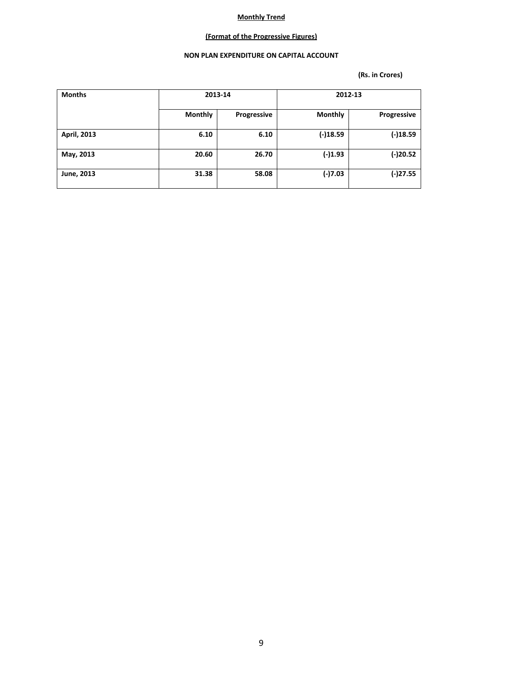### **(Format of the Progressive Figures)**

### **NON PLAN EXPENDITURE ON CAPITAL ACCOUNT**

| <b>Months</b> | 2013-14        |             | 2012-13        |             |
|---------------|----------------|-------------|----------------|-------------|
|               | <b>Monthly</b> | Progressive | <b>Monthly</b> | Progressive |
| April, 2013   | 6.10           | 6.10        | $(-)18.59$     | $(-)18.59$  |
| May, 2013     | 20.60          | 26.70       | $(-)1.93$      | $(-)20.52$  |
| June, 2013    | 31.38          | 58.08       | $(-)7.03$      | $(-)27.55$  |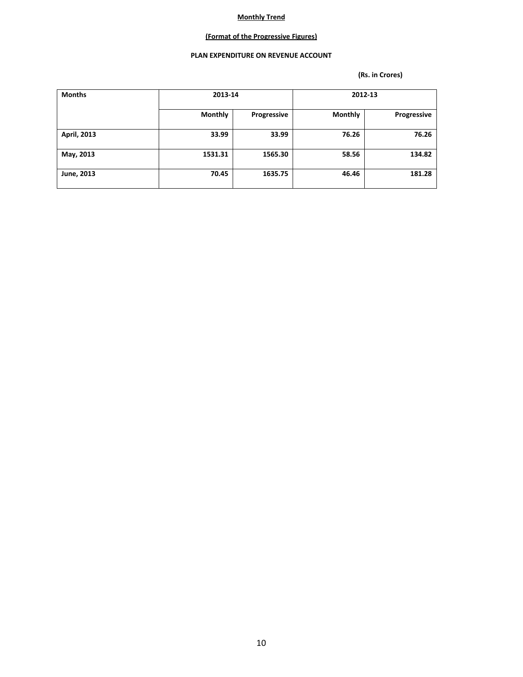### **(Format of the Progressive Figures)**

### **PLAN EXPENDITURE ON REVENUE ACCOUNT**

| <b>Months</b> |                | 2013-14     |                | 2012-13     |  |
|---------------|----------------|-------------|----------------|-------------|--|
|               | <b>Monthly</b> | Progressive | <b>Monthly</b> | Progressive |  |
| April, 2013   | 33.99          | 33.99       | 76.26          | 76.26       |  |
| May, 2013     | 1531.31        | 1565.30     | 58.56          | 134.82      |  |
| June, 2013    | 70.45          | 1635.75     | 46.46          | 181.28      |  |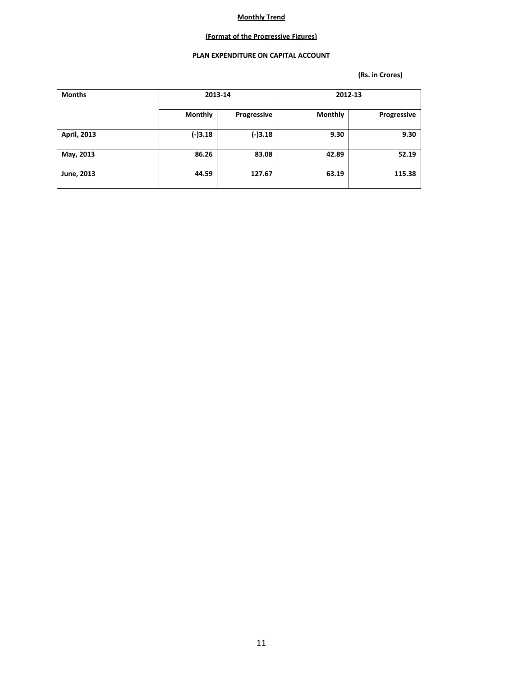### **(Format of the Progressive Figures)**

### **PLAN EXPENDITURE ON CAPITAL ACCOUNT**

| <b>Months</b> | 2013-14        |             | 2012-13        |             |
|---------------|----------------|-------------|----------------|-------------|
|               | <b>Monthly</b> | Progressive | <b>Monthly</b> | Progressive |
| April, 2013   | $(-)3.18$      | (-)3.18     | 9.30           | 9.30        |
| May, 2013     | 86.26          | 83.08       | 42.89          | 52.19       |
| June, 2013    | 44.59          | 127.67      | 63.19          | 115.38      |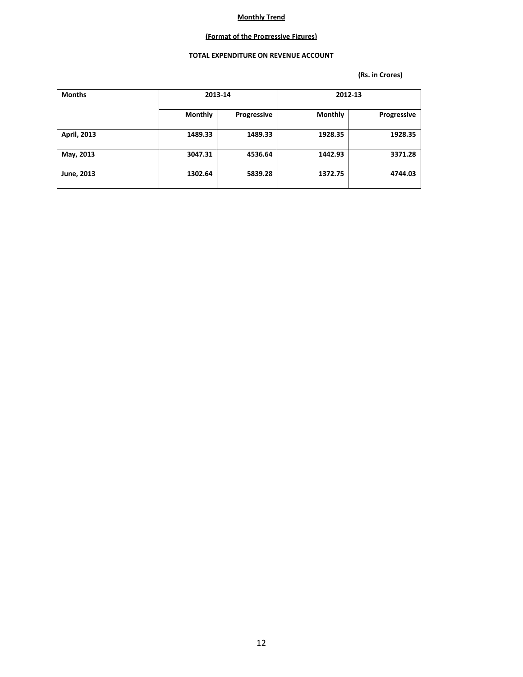### **(Format of the Progressive Figures)**

### **TOTAL EXPENDITURE ON REVENUE ACCOUNT**

| <b>Months</b> | 2013-14        |             | 2012-13        |             |
|---------------|----------------|-------------|----------------|-------------|
|               | <b>Monthly</b> | Progressive | <b>Monthly</b> | Progressive |
| April, 2013   | 1489.33        | 1489.33     | 1928.35        | 1928.35     |
| May, 2013     | 3047.31        | 4536.64     | 1442.93        | 3371.28     |
| June, 2013    | 1302.64        | 5839.28     | 1372.75        | 4744.03     |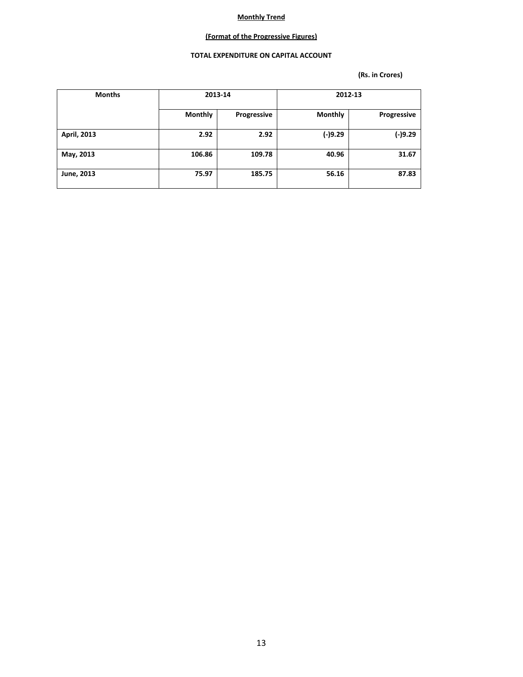### **(Format of the Progressive Figures)**

### **TOTAL EXPENDITURE ON CAPITAL ACCOUNT**

| <b>Months</b> | 2013-14        |             | 2012-13        |             |  |
|---------------|----------------|-------------|----------------|-------------|--|
|               | <b>Monthly</b> | Progressive | <b>Monthly</b> | Progressive |  |
| April, 2013   | 2.92           | 2.92        | $(-)9.29$      | $(-)9.29$   |  |
| May, 2013     | 106.86         | 109.78      | 40.96          | 31.67       |  |
| June, 2013    | 75.97          | 185.75      | 56.16          | 87.83       |  |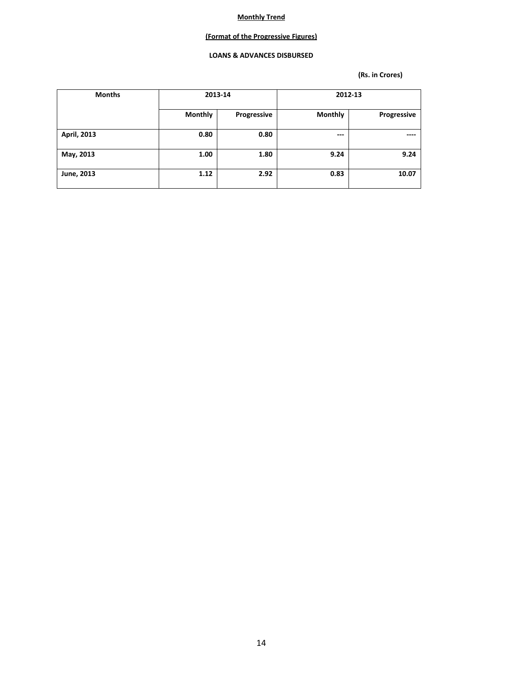### **(Format of the Progressive Figures)**

### **LOANS & ADVANCES DISBURSED**

| <b>Months</b> | 2013-14        |             | 2012-13        |             |  |
|---------------|----------------|-------------|----------------|-------------|--|
|               | <b>Monthly</b> | Progressive | <b>Monthly</b> | Progressive |  |
| April, 2013   | 0.80           | 0.80        | ---            | ----        |  |
| May, 2013     | 1.00           | 1.80        | 9.24           | 9.24        |  |
| June, 2013    | 1.12           | 2.92        | 0.83           | 10.07       |  |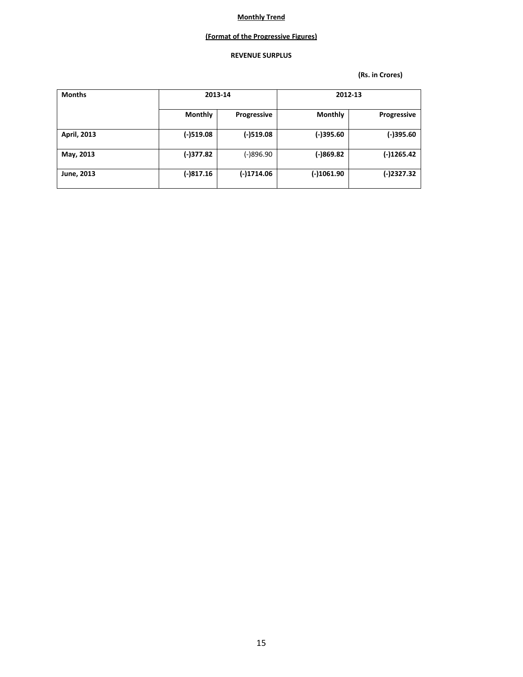### **(Format of the Progressive Figures)**

### **REVENUE SURPLUS**

| <b>Months</b> | 2013-14        |             | 2012-13        |                    |  |
|---------------|----------------|-------------|----------------|--------------------|--|
|               | <b>Monthly</b> | Progressive | <b>Monthly</b> | <b>Progressive</b> |  |
| April, 2013   | $(-)519.08$    | $(-)519.08$ | $(-)395.60$    | $(-)395.60$        |  |
| May, 2013     | (-)377.82      | (-)896.90   | $(-)869.82$    | (-)1265.42         |  |
| June, 2013    | $(-)817.16$    | (-)1714.06  | $(-)1061.90$   | (-)2327.32         |  |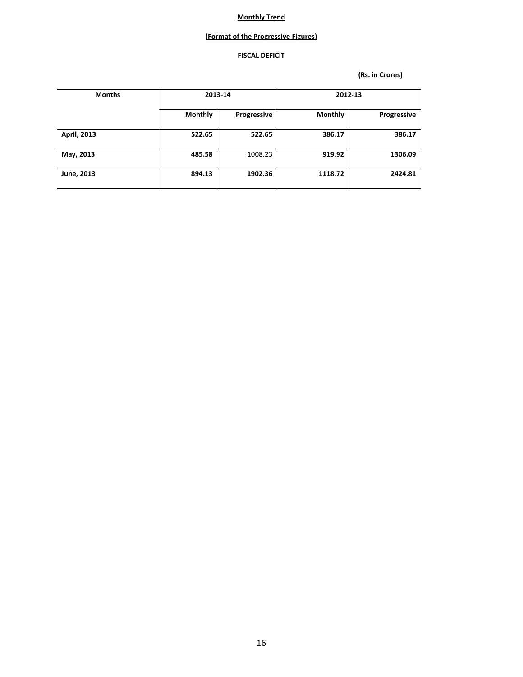### **(Format of the Progressive Figures)**

### **FISCAL DEFICIT**

| <b>Months</b> | 2013-14        |             | 2012-13        |             |  |
|---------------|----------------|-------------|----------------|-------------|--|
|               | <b>Monthly</b> | Progressive | <b>Monthly</b> | Progressive |  |
| April, 2013   | 522.65         | 522.65      | 386.17         | 386.17      |  |
| May, 2013     | 485.58         | 1008.23     | 919.92         | 1306.09     |  |
| June, 2013    | 894.13         | 1902.36     | 1118.72        | 2424.81     |  |